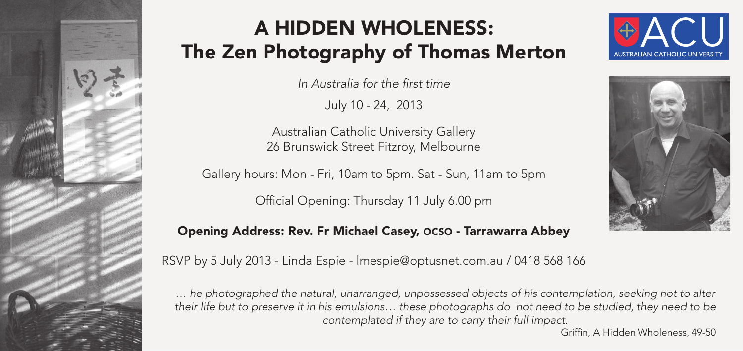

## **A HIDDEN WHOLENESS:** The Zen Photography of Thomas Merton

In Australia for the first time

July 10 - 24, 2013

Australian Catholic University Gallery 26 Brunswick Street Fitzroy, Melbourne  $\mathcal{I}$ .

Gallery hours: Mon - Fri, 10am to 5pm. Sat - Sun, 11am to 5pm

Official Opening: Thursday 11 July 6.00 pm **1** Preferred

## Opening Address: Rev. Fr Michael Casey, OCSO - Tarrawarra Abbey





RSVP by 5 July 2013 - Linda Espie - lmespie@optusnet.com.au / 0418 568 166

... he photographed the natural, unarranged, unpossessed objects of his contemplation, seeking not to alter *their life but to preserve it in his emulsions... these photographs do not need to be studied, they need to be contemplated if they are to carry their full impact.*

Griffin, A Hidden Wholeness, 49-50